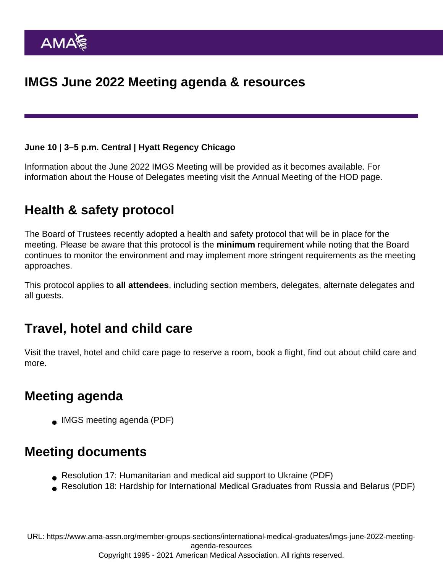June 10 | 3–5 p.m. Central | Hyatt Regency Chicago

Information about the June 2022 IMGS Meeting will be provided as it becomes available. For information about the House of Delegates meeting [visit the Annual Meeting of the HOD page.](https://www.ama-assn.org/house-delegates/annual-meeting)

## Health & safety protocol

The Board of Trustees recently adopted a [health and safety protocol](https://www.ama-assn.org/house-delegates/annual-meeting/annual-meeting-health-and-safety-protocol) that will be in place for the meeting. Please be aware that this protocol is the minimum requirement while noting that the Board continues to monitor the environment and may implement more stringent requirements as the meeting approaches.

This protocol applies to all attendees , including section members, delegates, alternate delegates and all guests.

## Travel, hotel and child care

[Visit the travel, hotel and child care page](https://www.ama-assn.org/house-delegates/annual-meeting/annual-meeting-inauguration-travel-hotel-and-child-care) to reserve a room, book a flight, find out about child care and more.

#### Meeting agenda

[IMGS meeting agenda](https://www.ama-assn.org/system/files/june-2022-imgs-meeting-agenda.pdf) (PDF)

#### Meeting documents

- [Resolution 17: Humanitarian and medical aid support to Ukraine](https://www.ama-assn.org/system/files/j22-imgs-resolution-017.pdf) (PDF)
- [Resolution 18: Hardship for International Medical Graduates from Russia and Belarus](https://www.ama-assn.org/system/files/j22-imgs-resolution-018.pdf) (PDF)

URL: [https://www.ama-assn.org/member-groups-sections/international-medical-graduates/imgs-june-2022-meeting](https://www.ama-assn.org/member-groups-sections/international-medical-graduates/imgs-june-2022-meeting-agenda-resources)[agenda-resources](https://www.ama-assn.org/member-groups-sections/international-medical-graduates/imgs-june-2022-meeting-agenda-resources) Copyright 1995 - 2021 American Medical Association. All rights reserved.